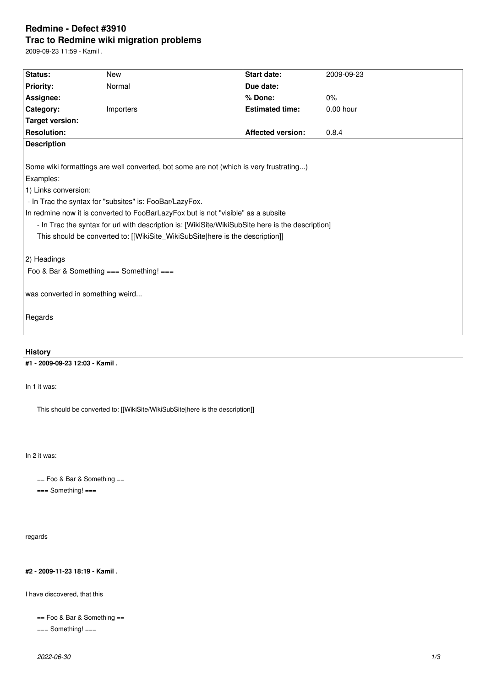# **Redmine - Defect #3910 Trac to Redmine wiki migration problems**

2009-09-23 11:59 - Kamil .

| Status:                                                                                          | <b>New</b> | Start date:              | 2009-09-23  |
|--------------------------------------------------------------------------------------------------|------------|--------------------------|-------------|
| <b>Priority:</b>                                                                                 | Normal     | Due date:                |             |
| Assignee:                                                                                        |            | % Done:                  | 0%          |
| Category:                                                                                        | Importers  | <b>Estimated time:</b>   | $0.00$ hour |
| Target version:                                                                                  |            |                          |             |
| <b>Resolution:</b>                                                                               |            | <b>Affected version:</b> | 0.8.4       |
| <b>Description</b>                                                                               |            |                          |             |
|                                                                                                  |            |                          |             |
| Some wiki formattings are well converted, bot some are not (which is very frustrating)           |            |                          |             |
| Examples:                                                                                        |            |                          |             |
| 1) Links conversion:                                                                             |            |                          |             |
| - In Trac the syntax for "subsites" is: FooBar/LazyFox.                                          |            |                          |             |
| In redmine now it is converted to FooBarLazyFox but is not "visible" as a subsite                |            |                          |             |
| - In Trac the syntax for url with description is: [WikiSite/WikiSubSite here is the description] |            |                          |             |
| This should be converted to: [[WikiSite_WikiSubSite here is the description]]                    |            |                          |             |
|                                                                                                  |            |                          |             |
| 2) Headings                                                                                      |            |                          |             |
| Foo & Bar & Something === Something! ===                                                         |            |                          |             |
|                                                                                                  |            |                          |             |
| was converted in something weird                                                                 |            |                          |             |
|                                                                                                  |            |                          |             |
| Regards                                                                                          |            |                          |             |
|                                                                                                  |            |                          |             |
|                                                                                                  |            |                          |             |

## **History**

**#1 - 2009-09-23 12:03 - Kamil .**

In 1 it was:

This should be converted to: [[WikiSite/WikiSubSite|here is the description]]

In 2 it was:

== Foo & Bar & Something ==

=== Something! ===

regards

## **#2 - 2009-11-23 18:19 - Kamil .**

I have discovered, that this

```
== Foo & Bar & Something ==
```

```
=== Something! ===
```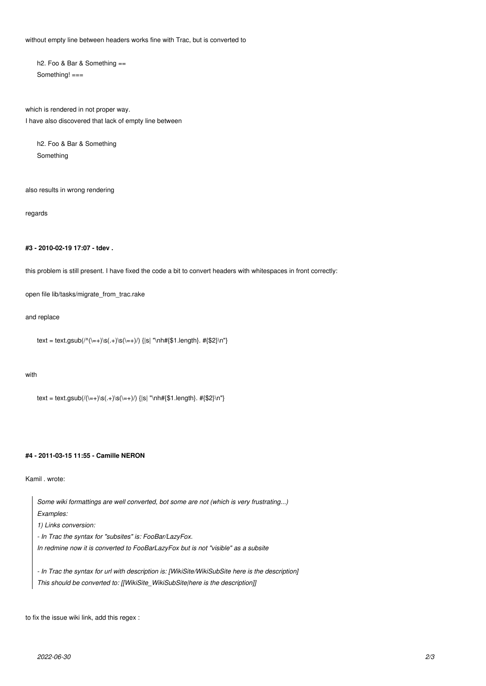without empty line between headers works fine with Trac, but is converted to

h2. Foo & Bar & Something == Something! ===

which is rendered in not proper way. I have also discovered that lack of empty line between

h2. Foo & Bar & Something Something

also results in wrong rendering

regards

### **#3 - 2010-02-19 17:07 - tdev .**

this problem is still present. I have fixed the code a bit to convert headers with whitespaces in front correctly:

open file lib/tasks/migrate\_from\_trac.rake

and replace

```
text = text.gsub(/^(\=+)\s(.+)\s(\=+)/) {|s| "\nh#{$1.length}. #{$2}\n"}
```
#### with

```
text = text.gsub(/(\=+)\s(.+)\s(\=+)/) {|s| "\nh#{$1.length}. #{$2}\n"}
```
#### **#4 - 2011-03-15 11:55 - Camille NERON**

Kamil . wrote:



to fix the issue wiki link, add this regex :